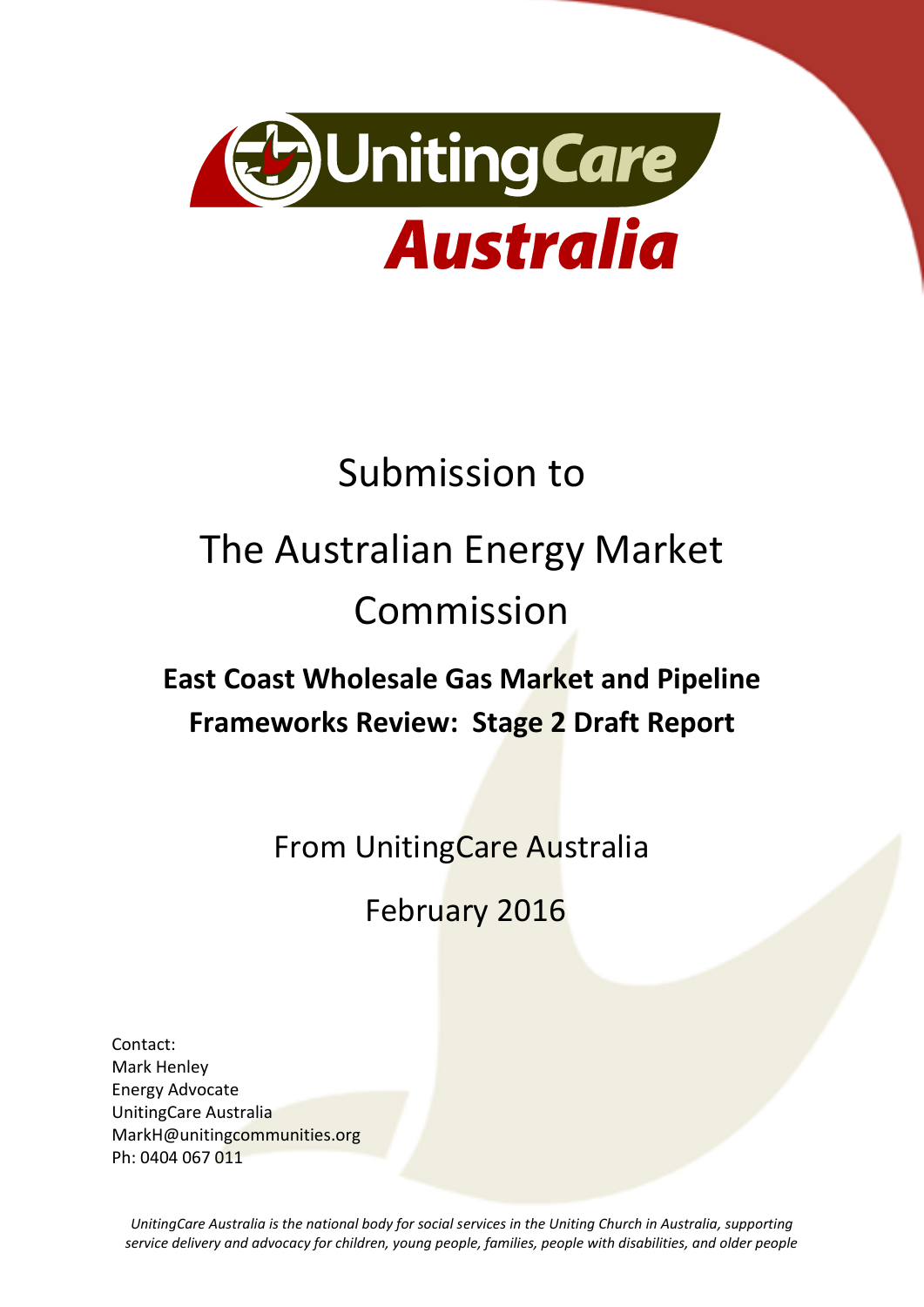

# Submission to

# The Australian Energy Market Commission

# **East Coast Wholesale Gas Market and Pipeline Frameworks Review: Stage 2 Draft Report**

From UnitingCare Australia

February 2016

Contact: Mark Henley Energy Advocate UnitingCare Australia MarkH@unitingcommunities.org Ph: 0404 067 011

*UnitingCare Australia is the national body for social services in the Uniting Church in Australia, supporting service delivery and advocacy for children, young people, families, people with disabilities, and older people*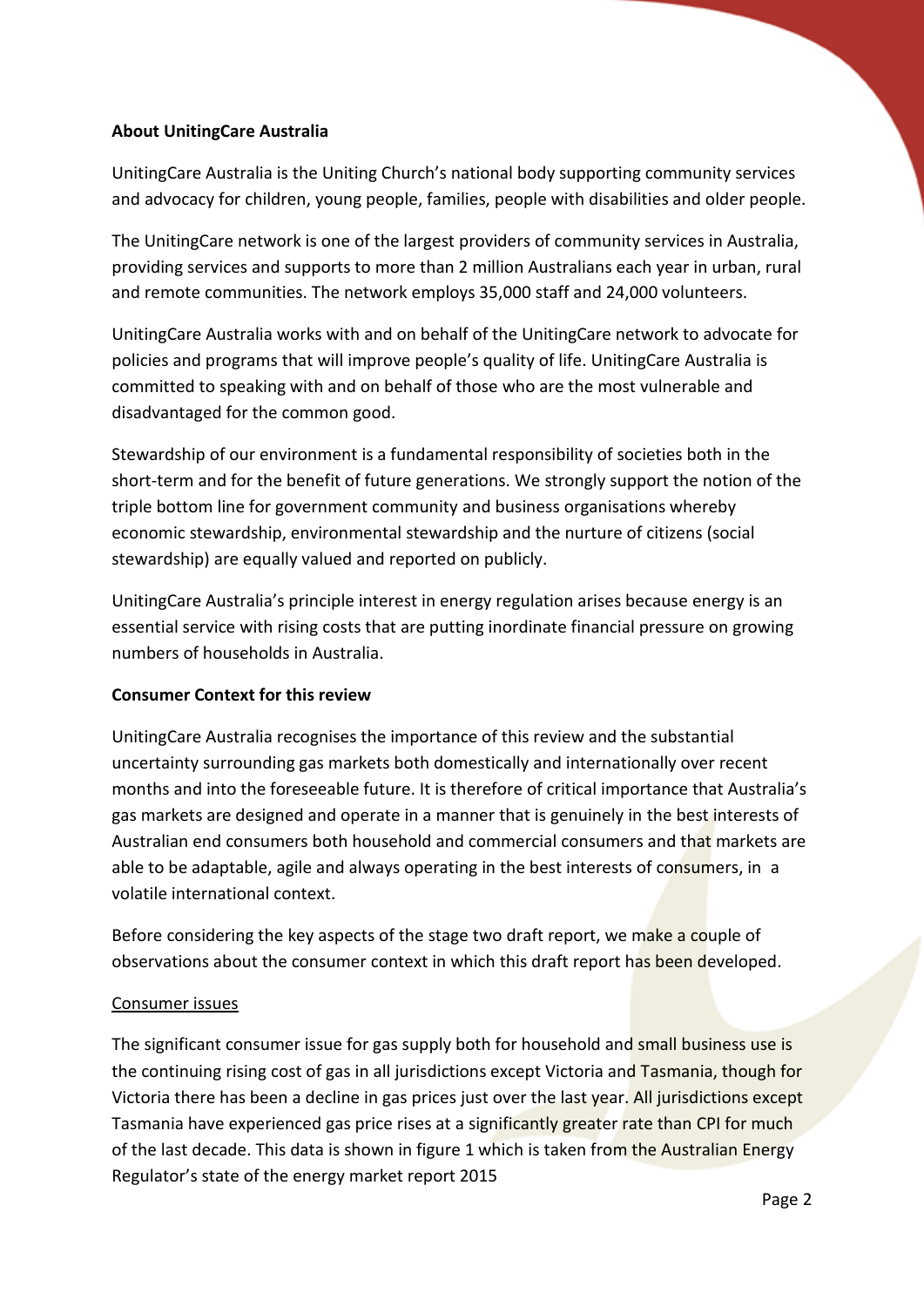# **About UnitingCare Australia**

UnitingCare Australia is the Uniting Church's national body supporting community services and advocacy for children, young people, families, people with disabilities and older people.

The UnitingCare network is one of the largest providers of community services in Australia, providing services and supports to more than 2 million Australians each year in urban, rural and remote communities. The network employs 35,000 staff and 24,000 volunteers.

UnitingCare Australia works with and on behalf of the UnitingCare network to advocate for policies and programs that will improve people's quality of life. UnitingCare Australia is committed to speaking with and on behalf of those who are the most vulnerable and disadvantaged for the common good.

Stewardship of our environment is a fundamental responsibility of societies both in the short-term and for the benefit of future generations. We strongly support the notion of the triple bottom line for government community and business organisations whereby economic stewardship, environmental stewardship and the nurture of citizens (social stewardship) are equally valued and reported on publicly.

UnitingCare Australia's principle interest in energy regulation arises because energy is an essential service with rising costs that are putting inordinate financial pressure on growing numbers of households in Australia.

# **Consumer Context for this review**

UnitingCare Australia recognises the importance of this review and the substantial uncertainty surrounding gas markets both domestically and internationally over recent months and into the foreseeable future. It is therefore of critical importance that Australia's gas markets are designed and operate in a manner that is genuinely in the best interests of Australian end consumers both household and commercial consumers and that markets are able to be adaptable, agile and always operating in the best interests of consumers, in a volatile international context.

Before considering the key aspects of the stage two draft report, we make a couple of observations about the consumer context in which this draft report has been developed.

# Consumer issues

The significant consumer issue for gas supply both for household and small business use is the continuing rising cost of gas in all jurisdictions except Victoria and Tasmania, though for Victoria there has been a decline in gas prices just over the last year. All jurisdictions except Tasmania have experienced gas price rises at a significantly greater rate than CPI for much of the last decade. This data is shown in figure 1 which is taken from the Australian Energy Regulator's state of the energy market report 2015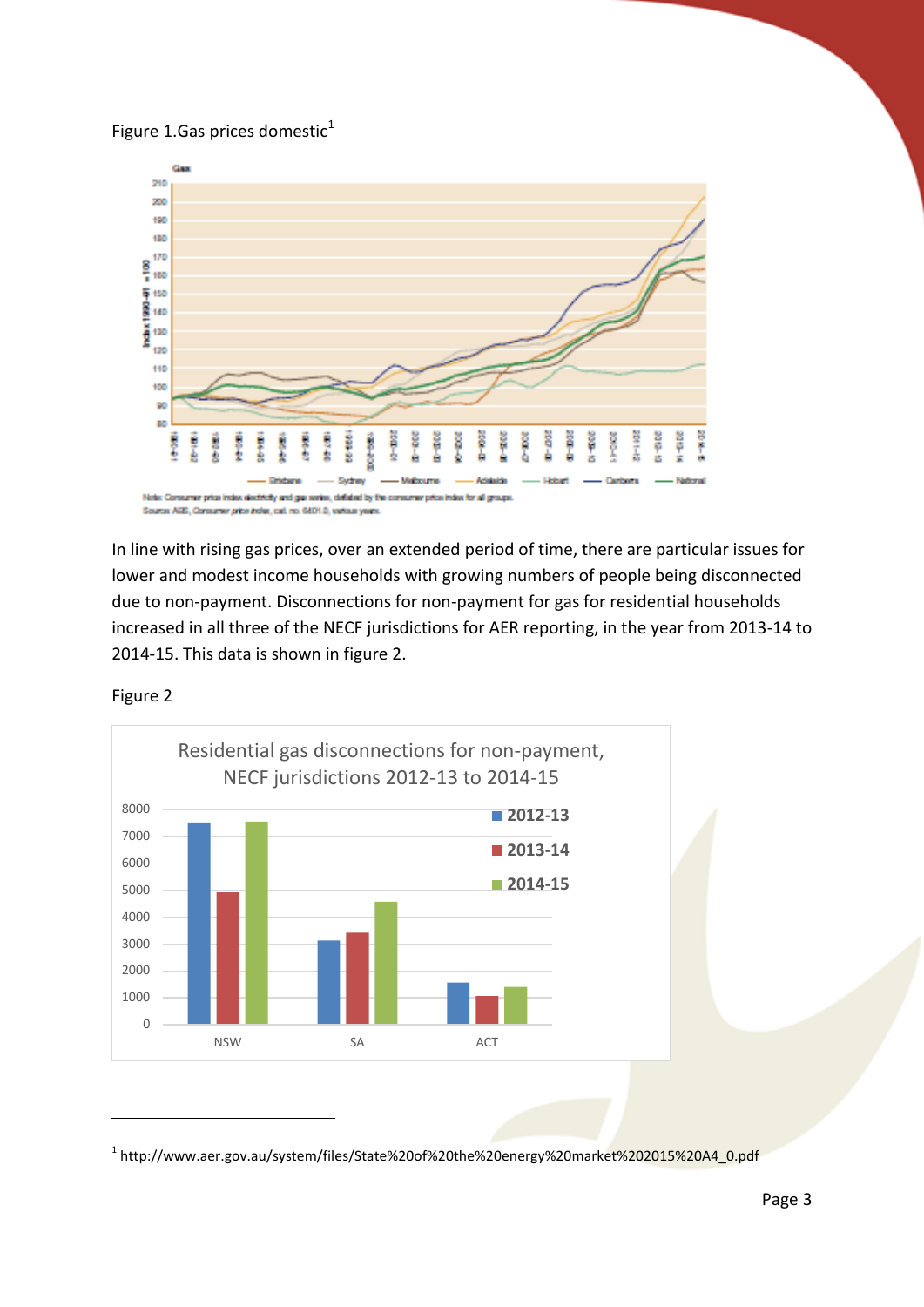# Figure 1.Gas prices domestic $1$



In line with rising gas prices, over an extended period of time, there are particular issues for lower and modest income households with growing numbers of people being disconnected due to non-payment. Disconnections for non-payment for gas for residential households increased in all three of the NECF jurisdictions for AER reporting, in the year from 2013-14 to 2014-15. This data is shown in figure 2.



Figure 2

<u>.</u>

<sup>&</sup>lt;sup>1</sup> http://www.aer.gov.au/system/files/State%20of%20the%20energy%20market%202015%20A4\_0.pdf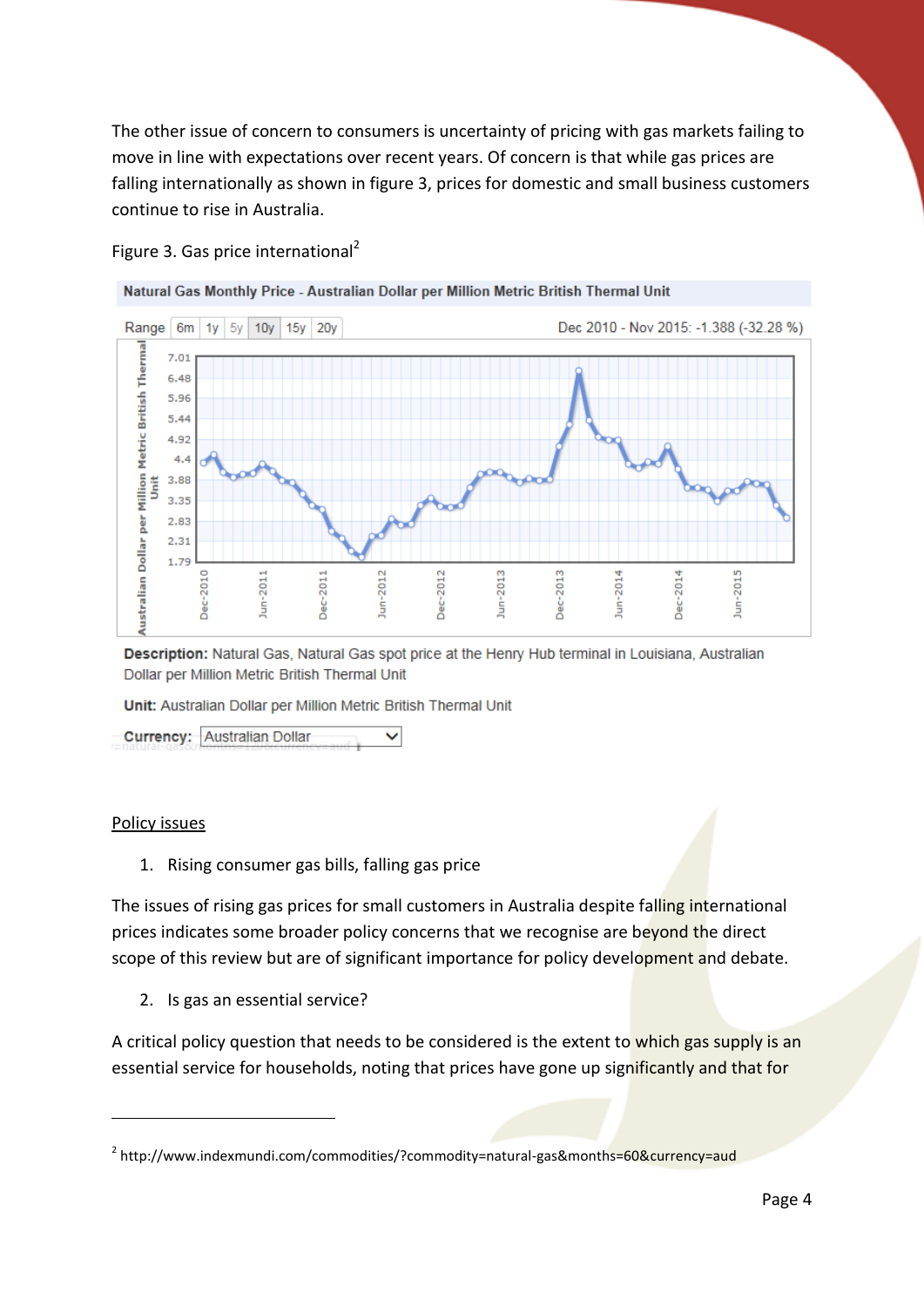The other issue of concern to consumers is uncertainty of pricing with gas markets failing to move in line with expectations over recent years. Of concern is that while gas prices are falling internationally as shown in figure 3, prices for domestic and small business customers continue to rise in Australia.



#### Figure 3. Gas price international<sup>2</sup>

Description: Natural Gas, Natural Gas spot price at the Henry Hub terminal in Louisiana, Australian Dollar per Million Metric British Thermal Unit

Unit: Australian Dollar per Million Metric British Thermal Unit

**Currency: Australian Dollar**  $\checkmark$ 

#### Policy issues

<u>.</u>

1. Rising consumer gas bills, falling gas price

The issues of rising gas prices for small customers in Australia despite falling international prices indicates some broader policy concerns that we recognise are beyond the direct scope of this review but are of significant importance for policy development and debate.

2. Is gas an essential service?

A critical policy question that needs to be considered is the extent to which gas supply is an essential service for households, noting that prices have gone up significantly and that for

<sup>&</sup>lt;sup>2</sup> http://www.indexmundi.com/commodities/?commodity=natural-gas&month<mark>s=60&currency=aud</mark>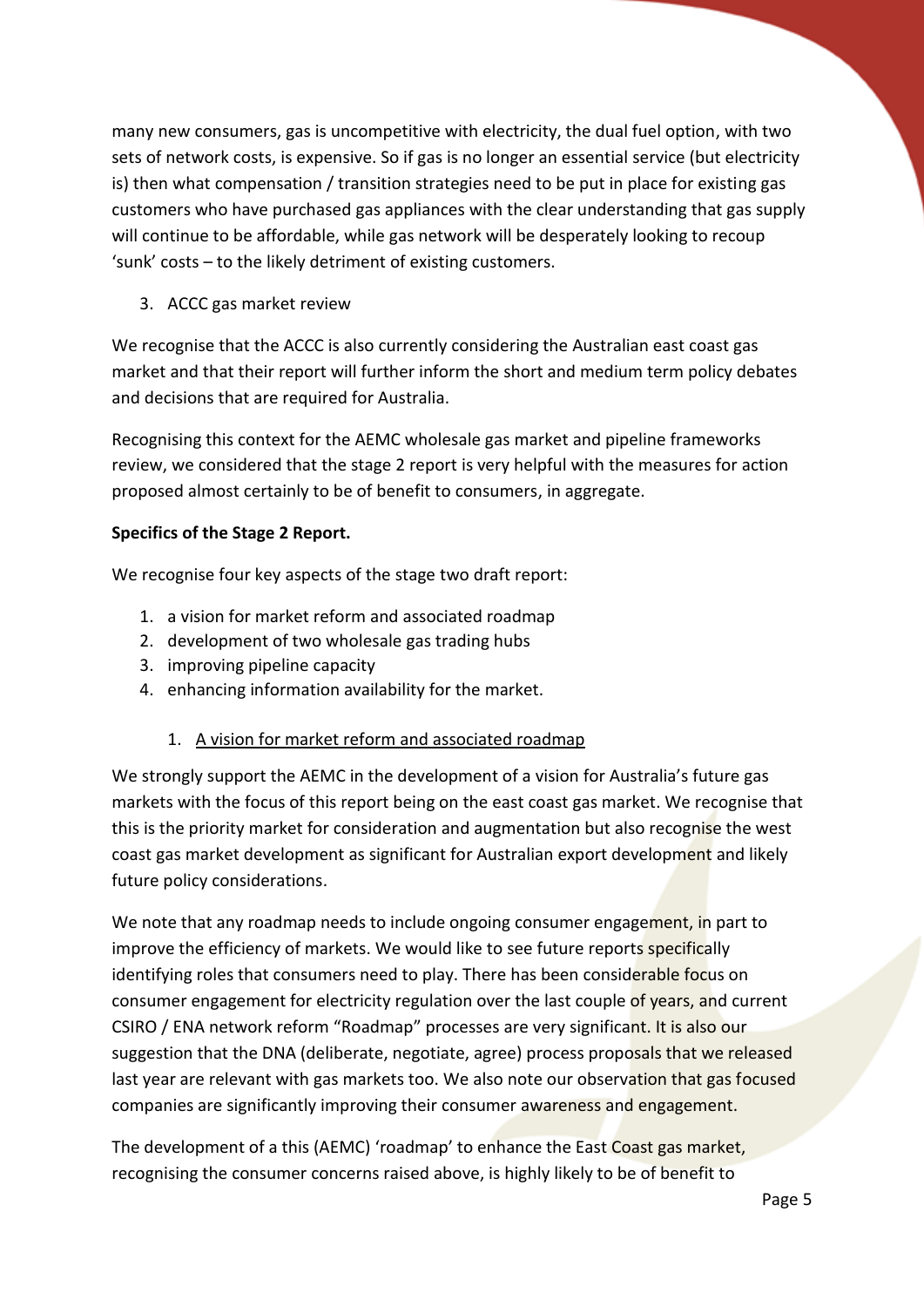many new consumers, gas is uncompetitive with electricity, the dual fuel option, with two sets of network costs, is expensive. So if gas is no longer an essential service (but electricity is) then what compensation / transition strategies need to be put in place for existing gas customers who have purchased gas appliances with the clear understanding that gas supply will continue to be affordable, while gas network will be desperately looking to recoup 'sunk' costs – to the likely detriment of existing customers.

# 3. ACCC gas market review

We recognise that the ACCC is also currently considering the Australian east coast gas market and that their report will further inform the short and medium term policy debates and decisions that are required for Australia.

Recognising this context for the AEMC wholesale gas market and pipeline frameworks review, we considered that the stage 2 report is very helpful with the measures for action proposed almost certainly to be of benefit to consumers, in aggregate.

# **Specifics of the Stage 2 Report.**

We recognise four key aspects of the stage two draft report:

- 1. a vision for market reform and associated roadmap
- 2. development of two wholesale gas trading hubs
- 3. improving pipeline capacity
- 4. enhancing information availability for the market.

# 1. A vision for market reform and associated roadmap

We strongly support the AEMC in the development of a vision for Australia's future gas markets with the focus of this report being on the east coast gas market. We recognise that this is the priority market for consideration and augmentation but also recognise the west coast gas market development as significant for Australian export development and likely future policy considerations.

We note that any roadmap needs to include ongoing consumer engagement, in part to improve the efficiency of markets. We would like to see future reports specifically identifying roles that consumers need to play. There has been considerable focus on consumer engagement for electricity regulation over the last couple of years, and current CSIRO / ENA network reform "Roadmap" processes are very significant. It is also our suggestion that the DNA (deliberate, negotiate, agree) process proposals that we released last year are relevant with gas markets too. We also note our observation that gas focused companies are significantly improving their consumer awareness and engagement.

The development of a this (AEMC) 'roadmap' to enhance the East Coast gas market, recognising the consumer concerns raised above, is highly likely to be of benefit to